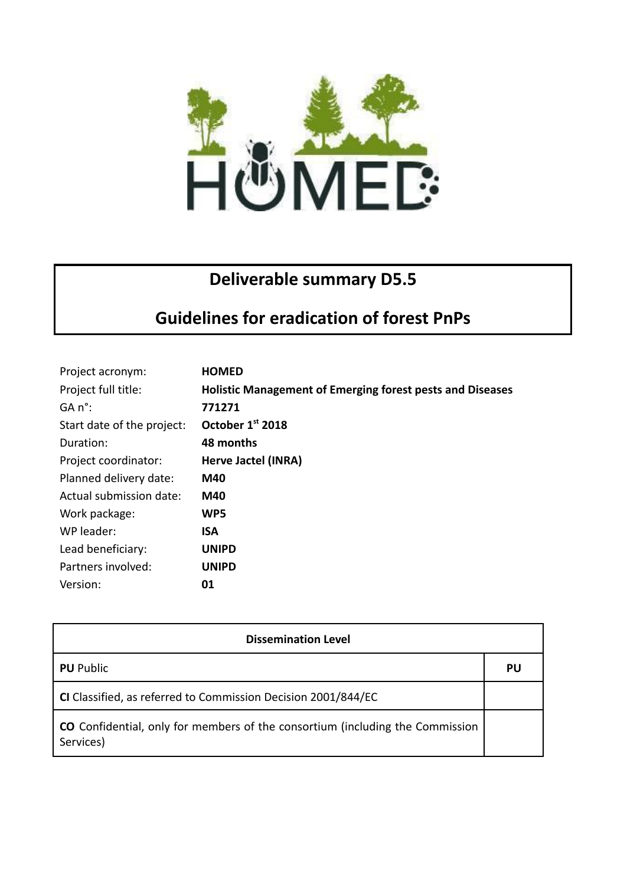

## **Deliverable summary D5.5**

## **Guidelines for eradication of forest PnPs**

| Project acronym:           | <b>HOMED</b>                                                     |
|----------------------------|------------------------------------------------------------------|
| Project full title:        | <b>Holistic Management of Emerging forest pests and Diseases</b> |
| GA n°:                     | 771271                                                           |
| Start date of the project: | October 1st 2018                                                 |
| Duration:                  | 48 months                                                        |
| Project coordinator:       | Herve Jactel (INRA)                                              |
| Planned delivery date:     | M40                                                              |
| Actual submission date:    | M40                                                              |
| Work package:              | WP5                                                              |
| WP leader:                 | <b>ISA</b>                                                       |
| Lead beneficiary:          | <b>UNIPD</b>                                                     |
| Partners involved:         | <b>UNIPD</b>                                                     |
| Version:                   | 01                                                               |

| <b>Dissemination Level</b>                                                                        |    |  |
|---------------------------------------------------------------------------------------------------|----|--|
| <b>PU</b> Public                                                                                  | PU |  |
| CI Classified, as referred to Commission Decision 2001/844/EC                                     |    |  |
| <b>CO</b> Confidential, only for members of the consortium (including the Commission<br>Services) |    |  |